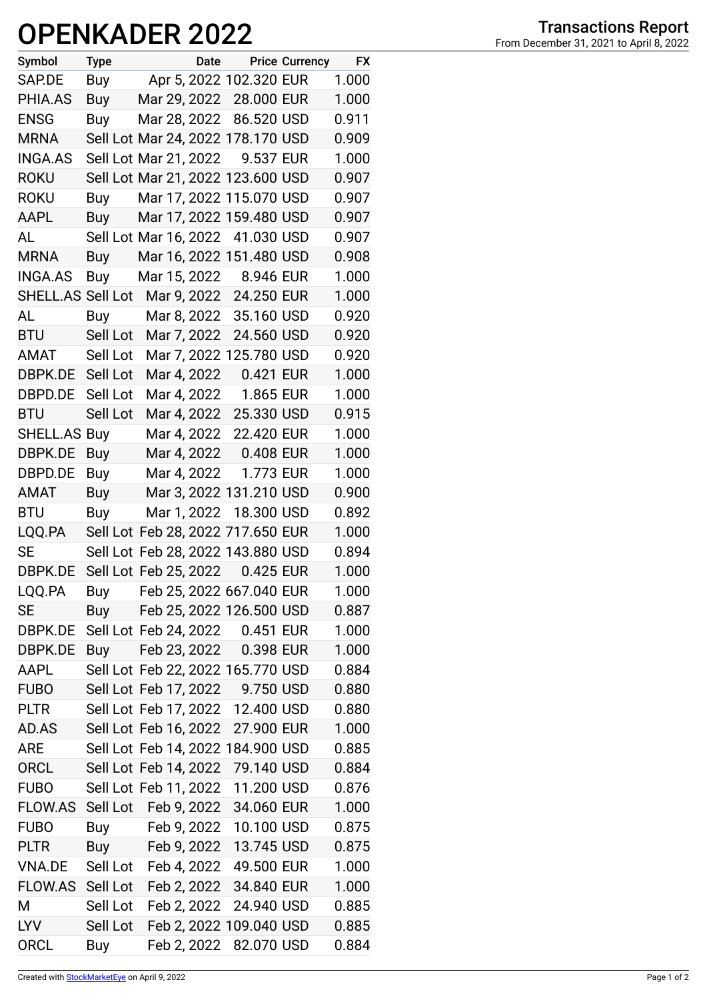## **OPENKADER 2022**

| Symbol            | <b>Type</b> | Date                              |            | <b>Price Currency</b> | <b>FX</b> |
|-------------------|-------------|-----------------------------------|------------|-----------------------|-----------|
| SAP.DE            | Buy         | Apr 5, 2022 102.320 EUR           |            |                       | 1.000     |
| PHIA.AS           | Buy         | Mar 29, 2022 28.000 EUR           |            |                       | 1.000     |
| <b>ENSG</b>       | Buy         | Mar 28, 2022 86.520 USD           |            |                       | 0.911     |
| <b>MRNA</b>       |             | Sell Lot Mar 24, 2022 178.170 USD |            |                       | 0.909     |
| <b>INGA.AS</b>    |             | Sell Lot Mar 21, 2022             | 9.537 EUR  |                       | 1.000     |
| <b>ROKU</b>       |             | Sell Lot Mar 21, 2022 123.600 USD |            |                       | 0.907     |
| <b>ROKU</b>       | Buy         | Mar 17, 2022 115.070 USD          |            |                       | 0.907     |
| <b>AAPL</b>       | Buy         | Mar 17, 2022 159.480 USD          |            |                       | 0.907     |
| AL                |             | Sell Lot Mar 16, 2022 41.030 USD  |            |                       | 0.907     |
| <b>MRNA</b>       | Buy         | Mar 16, 2022 151.480 USD          |            |                       | 0.908     |
| <b>INGA.AS</b>    | Buy         | Mar 15, 2022                      | 8.946 EUR  |                       | 1.000     |
| SHELL.AS Sell Lot |             | Mar 9, 2022 24.250 EUR            |            |                       | 1.000     |
| AL                | Buy         | Mar 8, 2022 35.160 USD            |            |                       | 0.920     |
| <b>BTU</b>        | Sell Lot    | Mar 7, 2022                       | 24.560 USD |                       | 0.920     |
| AMAT              | Sell Lot    | Mar 7, 2022 125.780 USD           |            |                       | 0.920     |
| DBPK.DE           | Sell Lot    | Mar 4, 2022 0.421 EUR             |            |                       | 1.000     |
| DBPD.DE           | Sell Lot    | Mar 4, 2022 1.865 EUR             |            |                       | 1.000     |
| <b>BTU</b>        | Sell Lot    | Mar 4, 2022                       | 25.330 USD |                       | 0.915     |
| SHELL.AS Buy      |             | Mar 4, 2022                       | 22.420 EUR |                       | 1.000     |
| DBPK.DE           | Buy         | Mar 4, 2022                       | 0.408 EUR  |                       | 1.000     |
| DBPD.DE           | Buy         | Mar 4, 2022                       | 1.773 EUR  |                       | 1.000     |
| AMAT              | Buy         | Mar 3, 2022 131.210 USD           |            |                       | 0.900     |
| <b>BTU</b>        | Buy         | Mar 1, 2022                       | 18.300 USD |                       | 0.892     |
| LQQ.PA            |             | Sell Lot Feb 28, 2022 717.650 EUR |            |                       | 1.000     |
| <b>SE</b>         |             | Sell Lot Feb 28, 2022 143.880 USD |            |                       | 0.894     |
| DBPK.DE           |             | Sell Lot Feb 25, 2022             | 0.425 EUR  |                       | 1.000     |
| LQQ.PA            | Buy         | Feb 25, 2022 667.040 EUR          |            |                       | 1.000     |
| <b>SE</b>         | Buy         | Feb 25, 2022 126.500 USD          |            |                       | 0.887     |
| DBPK.DE           |             | Sell Lot Feb 24, 2022 0.451 EUR   |            |                       | 1.000     |
| DBPK.DE           | Buy         | Feb 23, 2022 0.398 EUR            |            |                       | 1.000     |
| AAPL              |             | Sell Lot Feb 22, 2022 165.770 USD |            |                       | 0.884     |
| <b>FUBO</b>       |             | Sell Lot Feb 17, 2022 9.750 USD   |            |                       | 0.880     |
| <b>PLTR</b>       |             | Sell Lot Feb 17, 2022 12.400 USD  |            |                       | 0.880     |
| AD.AS             |             | Sell Lot Feb 16, 2022             | 27.900 EUR |                       | 1.000     |
| <b>ARE</b>        |             | Sell Lot Feb 14, 2022 184.900 USD |            |                       | 0.885     |
| <b>ORCL</b>       |             | Sell Lot Feb 14, 2022             | 79.140 USD |                       | 0.884     |
| <b>FUBO</b>       |             | Sell Lot Feb 11, 2022             | 11.200 USD |                       | 0.876     |
| FLOW.AS           | Sell Lot    | Feb 9, 2022                       | 34.060 EUR |                       | 1.000     |
| <b>FUBO</b>       | Buy         | Feb 9, 2022 10.100 USD            |            |                       | 0.875     |
| <b>PLTR</b>       | Buy         | Feb 9, 2022                       | 13.745 USD |                       | 0.875     |
| VNA.DE            |             | Sell Lot Feb 4, 2022              | 49.500 EUR |                       | 1.000     |
| FLOW.AS           | Sell Lot    | Feb 2, 2022                       | 34.840 EUR |                       | 1.000     |
| M                 | Sell Lot    | Feb 2, 2022                       | 24.940 USD |                       | 0.885     |
| <b>LYV</b>        | Sell Lot    | Feb 2, 2022 109.040 USD           |            |                       | 0.885     |
| <b>ORCL</b>       | Buy         | Feb 2, 2022                       | 82.070 USD |                       | 0.884     |